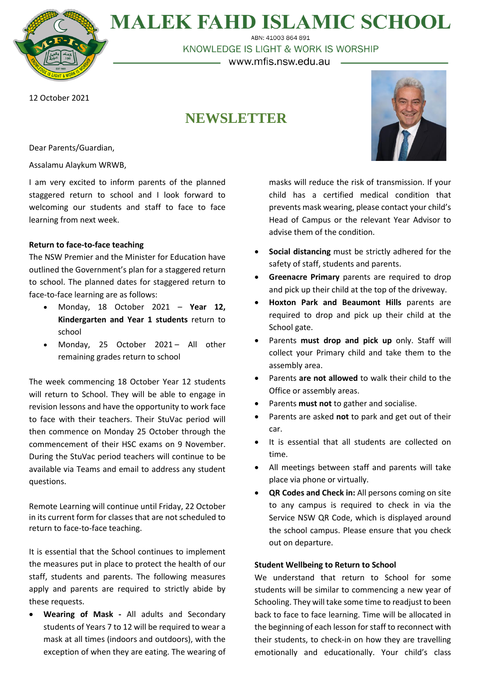**MALEK FAHD ISLAMIC SCHOOL** ABN: 41003 864 891

KNOWLEDGE IS LIGHT & WORK IS WORSHIP

— www.mfis.nsw.edu.au –

12 October 2021

# **NEWSLETTER**

Dear Parents/Guardian,

Assalamu Alaykum WRWB,

I am very excited to inform parents of the planned staggered return to school and I look forward to welcoming our students and staff to face to face learning from next week.

# **Return to face-to-face teaching**

The NSW Premier and the Minister for Education have outlined the Government's plan for a staggered return to school. The planned dates for staggered return to face-to-face learning are as follows:

- Monday, 18 October 2021 **Year 12, Kindergarten and Year 1 students** return to school
- Monday, 25 October 2021 All other remaining grades return to school

The week commencing 18 October Year 12 students will return to School. They will be able to engage in revision lessons and have the opportunity to work face to face with their teachers. Their StuVac period will then commence on Monday 25 October through the commencement of their HSC exams on 9 November. During the StuVac period teachers will continue to be available via Teams and email to address any student questions.

Remote Learning will continue until Friday, 22 October in its current form for classes that are not scheduled to return to face-to-face teaching.

It is essential that the School continues to implement the measures put in place to protect the health of our staff, students and parents. The following measures apply and parents are required to strictly abide by these requests.

• **Wearing of Mask -** All adults and Secondary students of Years 7 to 12 will be required to wear a mask at all times (indoors and outdoors), with the exception of when they are eating. The wearing of



masks will reduce the risk of transmission. If your child has a certified medical condition that prevents mask wearing, please contact your child's Head of Campus or the relevant Year Advisor to advise them of the condition.

- **Social distancing** must be strictly adhered for the safety of staff, students and parents.
- **Greenacre Primary** parents are required to drop and pick up their child at the top of the driveway.
- **Hoxton Park and Beaumont Hills** parents are required to drop and pick up their child at the School gate.
- Parents **must drop and pick up** only. Staff will collect your Primary child and take them to the assembly area.
- Parents **are not allowed** to walk their child to the Office or assembly areas.
- Parents **must not** to gather and socialise.
- Parents are asked **not** to park and get out of their car.
- It is essential that all students are collected on time.
- All meetings between staff and parents will take place via phone or virtually.
- **QR Codes and Check in:** All persons coming on site to any campus is required to check in via the Service NSW QR Code, which is displayed around the school campus. Please ensure that you check out on departure.

## **Student Wellbeing to Return to School**

We understand that return to School for some students will be similar to commencing a new year of Schooling. They will take some time to readjust to been back to face to face learning. Time will be allocated in the beginning of each lesson for staff to reconnect with their students, to check-in on how they are travelling emotionally and educationally. Your child's class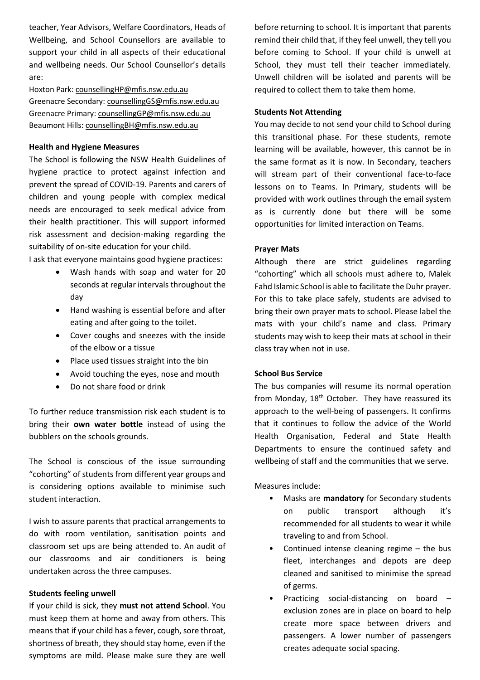teacher, Year Advisors, Welfare Coordinators, Heads of Wellbeing, and School Counsellors are available to support your child in all aspects of their educational and wellbeing needs. Our School Counsellor's details are:

Hoxton Park: [counsellingHP@mfis.nsw.edu.au](mailto:counsellingHP@mfis.nsw.edu.au) Greenacre Secondary: [counsellingGS@mfis.nsw.edu.au](mailto:counsellingGS@mfis.nsw.edu.au) Greenacre Primary: [counsellingGP@mfis.nsw.edu.au](mailto:counsellingGP@mfis.nsw.edu.au) Beaumont Hills: [counsellingBH@mfis.nsw.edu.au](mailto:counsellingBH@mfis.nsw.edu.au)

## **Health and Hygiene Measures**

The School is following the NSW Health Guidelines of hygiene practice to protect against infection and prevent the spread of COVID-19. Parents and carers of children and young people with complex medical needs are encouraged to seek medical advice from their health practitioner. This will support informed risk assessment and decision-making regarding the suitability of on-site education for your child.

I ask that everyone maintains good hygiene practices:

- Wash hands with soap and water for 20 seconds at regular intervals throughout the day
- Hand washing is essential before and after eating and after going to the toilet.
- Cover coughs and sneezes with the inside of the elbow or a tissue
- Place used tissues straight into the bin
- Avoid touching the eyes, nose and mouth
- Do not share food or drink

To further reduce transmission risk each student is to bring their **own water bottle** instead of using the bubblers on the schools grounds.

The School is conscious of the issue surrounding "cohorting" of students from different year groups and is considering options available to minimise such student interaction.

I wish to assure parents that practical arrangements to do with room ventilation, sanitisation points and classroom set ups are being attended to. An audit of our classrooms and air conditioners is being undertaken across the three campuses.

## **Students feeling unwell**

If your child is sick, they **must not attend School**. You must keep them at home and away from others. This meansthat if your child has a fever, cough, sore throat, shortness of breath, they should stay home, even if the symptoms are mild. Please make sure they are well before returning to school. It is important that parents remind their child that, if they feel unwell, they tell you before coming to School. If your child is unwell at School, they must tell their teacher immediately. Unwell children will be isolated and parents will be required to collect them to take them home.

#### **Students Not Attending**

You may decide to not send your child to School during this transitional phase. For these students, remote learning will be available, however, this cannot be in the same format as it is now. In Secondary, teachers will stream part of their conventional face-to-face lessons on to Teams. In Primary, students will be provided with work outlines through the email system as is currently done but there will be some opportunities for limited interaction on Teams.

## **Prayer Mats**

Although there are strict guidelines regarding "cohorting" which all schools must adhere to, Malek Fahd Islamic School is able to facilitate the Duhr prayer. For this to take place safely, students are advised to bring their own prayer mats to school. Please label the mats with your child's name and class. Primary students may wish to keep their mats at school in their class tray when not in use.

#### **School Bus Service**

The bus companies will resume its normal operation from Monday,  $18<sup>th</sup>$  October. They have reassured its approach to the well-being of passengers. It confirms that it continues to follow the advice of the World Health Organisation, Federal and State Health Departments to ensure the continued safety and wellbeing of staff and the communities that we serve.

Measures include:

- Masks are **mandatory** for Secondary students on public transport although it's recommended for all students to wear it while traveling to and from School.
- Continued intense cleaning regime the bus fleet, interchanges and depots are deep cleaned and sanitised to minimise the spread of germs.
- Practicing social-distancing on board exclusion zones are in place on board to help create more space between drivers and passengers. A lower number of passengers creates adequate social spacing.